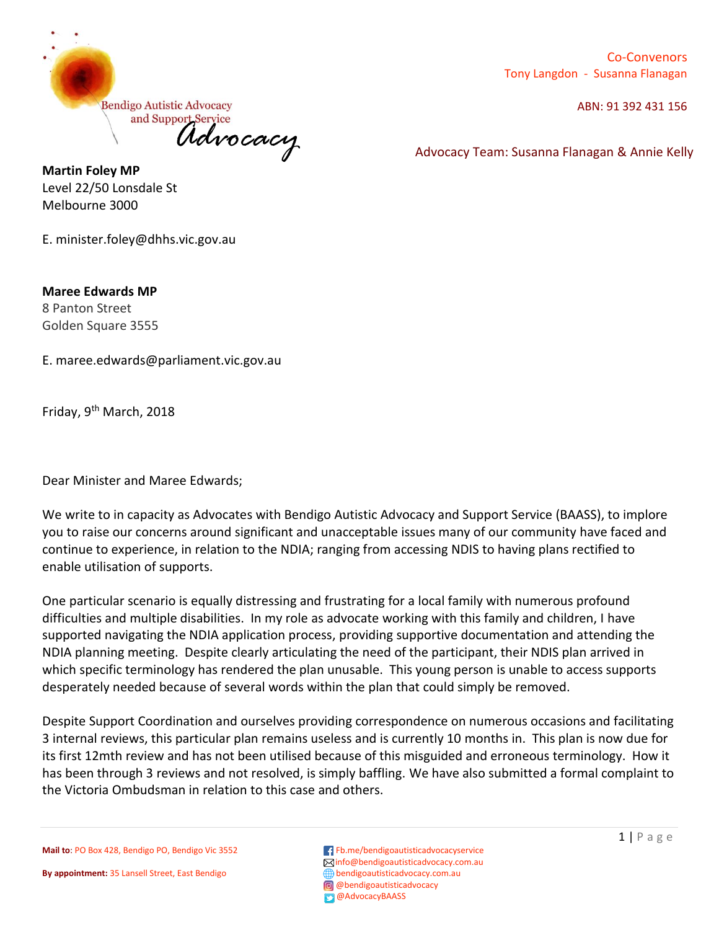

Co-Convenors Tony Langdon - Susanna Flanagan

ABN: 91 392 431 156

**Martin Foley MP** Level 22/50 Lonsdale St Melbourne 3000

E. minister.foley@dhhs.vic.gov.au

**Maree Edwards MP** 8 Panton Street Golden Square 3555

E. maree.edwards@parliament.vic.gov.au

Friday, 9th March, 2018

Dear Minister and Maree Edwards;

We write to in capacity as Advocates with Bendigo Autistic Advocacy and Support Service (BAASS), to implore you to raise our concerns around significant and unacceptable issues many of our community have faced and continue to experience, in relation to the NDIA; ranging from accessing NDIS to having plans rectified to enable utilisation of supports.

One particular scenario is equally distressing and frustrating for a local family with numerous profound difficulties and multiple disabilities. In my role as advocate working with this family and children, I have supported navigating the NDIA application process, providing supportive documentation and attending the NDIA planning meeting. Despite clearly articulating the need of the participant, their NDIS plan arrived in which specific terminology has rendered the plan unusable. This young person is unable to access supports desperately needed because of several words within the plan that could simply be removed.

Despite Support Coordination and ourselves providing correspondence on numerous occasions and facilitating 3 internal reviews, this particular plan remains useless and is currently 10 months in. This plan is now due for its first 12mth review and has not been utilised because of this misguided and erroneous terminology. How it has been through 3 reviews and not resolved, is simply baffling. We have also submitted a formal complaint to the Victoria Ombudsman in relation to this case and others.

**Mail to**: PO Box 428, Bendigo PO, Bendigo Vic 3552 **F**b.me/bendigoautisticadvocacyservice